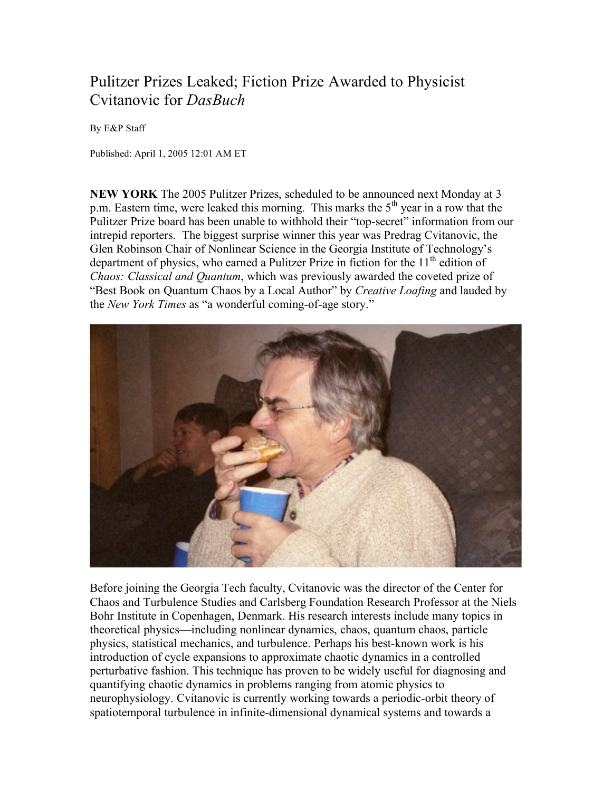## Pulitzer Prizes Leaked; Fiction Prize Awarded to Physicist Cvitanovic for *DasBuch*

By E&P Staff

Published: April 1, 2005 12:01 AM ET

**NEW YORK** The 2005 Pulitzer Prizes, scheduled to be announced next Monday at 3 p.m. Eastern time, were leaked this morning. This marks the  $5<sup>th</sup>$  year in a row that the Pulitzer Prize board has been unable to withhold their "top-secret" information from our intrepid reporters. The biggest surprise winner this year was Predrag Cvitanovic, the Glen Robinson Chair of Nonlinear Science in the Georgia Institute of Technology's department of physics, who earned a Pulitzer Prize in fiction for the  $11<sup>th</sup>$  edition of *Chaos: Classical and Quantum*, which was previously awarded the coveted prize of "Best Book on Quantum Chaos by a Local Author" by *Creative Loafing* and lauded by the *New York Times* as "a wonderful coming-of-age story."



Before joining the Georgia Tech faculty, Cvitanovic was the director of the Center for Chaos and Turbulence Studies and Carlsberg Foundation Research Professor at the Niels Bohr Institute in Copenhagen, Denmark. His research interests include many topics in theoretical physics—including nonlinear dynamics, chaos, quantum chaos, particle physics, statistical mechanics, and turbulence. Perhaps his best-known work is his introduction of cycle expansions to approximate chaotic dynamics in a controlled perturbative fashion. This technique has proven to be widely useful for diagnosing and quantifying chaotic dynamics in problems ranging from atomic physics to neurophysiology. Cvitanovic is currently working towards a periodic-orbit theory of spatiotemporal turbulence in infinite-dimensional dynamical systems and towards a